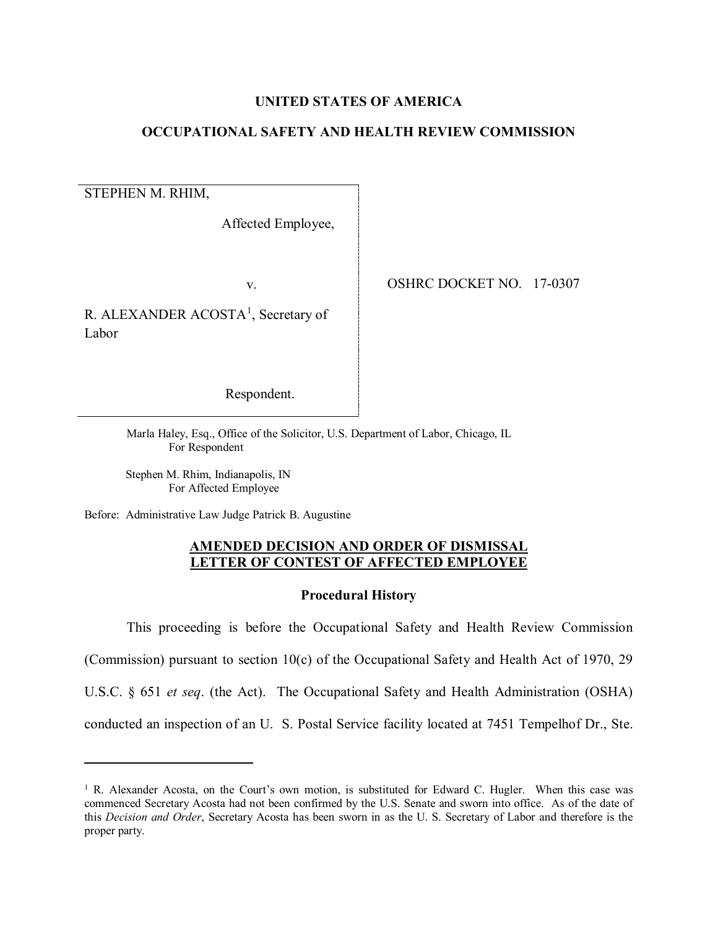## **UNITED STATES OF AMERICA**

# **OCCUPATIONAL SAFETY AND HEALTH REVIEW COMMISSION**

STEPHEN M. RHIM,

l

Affected Employee,

v.

R. ALEXANDER ACOSTA<sup>[1](#page-0-0)</sup>, Secretary of Labor

OSHRC DOCKET NO. 17-0307

Respondent.

Marla Haley, Esq., Office of the Solicitor, U.S. Department of Labor, Chicago, IL For Respondent

 Stephen M. Rhim, Indianapolis, IN For Affected Employee

Before: Administrative Law Judge Patrick B. Augustine

# **AMENDED DECISION AND ORDER OF DISMISSAL LETTER OF CONTEST OF AFFECTED EMPLOYEE**

#### **Procedural History**

This proceeding is before the Occupational Safety and Health Review Commission

(Commission) pursuant to section 10(c) of the Occupational Safety and Health Act of 1970, 29

U.S.C. § 651 *et seq*. (the Act). The Occupational Safety and Health Administration (OSHA)

conducted an inspection of an U. S. Postal Service facility located at 7451 Tempelhof Dr., Ste.

<span id="page-0-0"></span> $1$  R. Alexander Acosta, on the Court's own motion, is substituted for Edward C. Hugler. When this case was commenced Secretary Acosta had not been confirmed by the U.S. Senate and sworn into office. As of the date of this *Decision and Order*, Secretary Acosta has been sworn in as the U. S. Secretary of Labor and therefore is the proper party.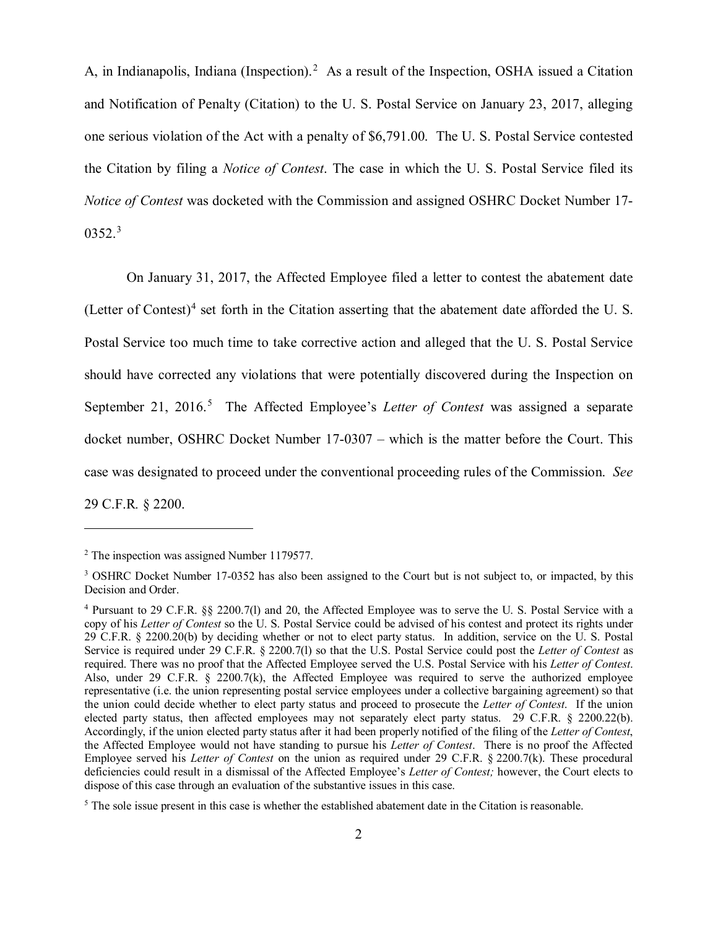A, in Indianapolis, Indiana (Inspection).<sup>[2](#page-1-0)</sup> As a result of the Inspection, OSHA issued a Citation and Notification of Penalty (Citation) to the U. S. Postal Service on January 23, 2017, alleging one serious violation of the Act with a penalty of \$6,791.00. The U. S. Postal Service contested the Citation by filing a *Notice of Contest*. The case in which the U. S. Postal Service filed its *Notice of Contest* was docketed with the Commission and assigned OSHRC Docket Number 17-  $0352.<sup>3</sup>$  $0352.<sup>3</sup>$  $0352.<sup>3</sup>$ 

On January 31, 2017, the Affected Employee filed a letter to contest the abatement date (Letter of Contest)<sup>[4](#page-1-2)</sup> set forth in the Citation asserting that the abatement date afforded the U.S. Postal Service too much time to take corrective action and alleged that the U. S. Postal Service should have corrected any violations that were potentially discovered during the Inspection on September 21, 2016.<sup>[5](#page-1-3)</sup> The Affected Employee's *Letter of Contest* was assigned a separate docket number, OSHRC Docket Number 17-0307 – which is the matter before the Court. This case was designated to proceed under the conventional proceeding rules of the Commission. *See*  29 C.F.R*.* § 2200.

l

<span id="page-1-0"></span><sup>&</sup>lt;sup>2</sup> The inspection was assigned Number 1179577.

<span id="page-1-1"></span><sup>&</sup>lt;sup>3</sup> OSHRC Docket Number 17-0352 has also been assigned to the Court but is not subject to, or impacted, by this Decision and Order.

<span id="page-1-2"></span><sup>4</sup> Pursuant to 29 C.F.R. §§ 2200.7(l) and 20, the Affected Employee was to serve the U. S. Postal Service with a copy of his *Letter of Contest* so the U. S. Postal Service could be advised of his contest and protect its rights under 29 C.F.R. § 2200.20(b) by deciding whether or not to elect party status. In addition, service on the U. S. Postal Service is required under 29 C.F.R. § 2200.7(l) so that the U.S. Postal Service could post the *Letter of Contest* as required. There was no proof that the Affected Employee served the U.S. Postal Service with his *Letter of Contest*. Also, under 29 C.F.R. § 2200.7(k), the Affected Employee was required to serve the authorized employee representative (i.e. the union representing postal service employees under a collective bargaining agreement) so that the union could decide whether to elect party status and proceed to prosecute the *Letter of Contest*. If the union elected party status, then affected employees may not separately elect party status. 29 C.F.R. § 2200.22(b). Accordingly, if the union elected party status after it had been properly notified of the filing of the *Letter of Contest*, the Affected Employee would not have standing to pursue his *Letter of Contest*. There is no proof the Affected Employee served his *Letter of Contest* on the union as required under 29 C.F.R. § 2200.7(k). These procedural deficiencies could result in a dismissal of the Affected Employee's *Letter of Contest;* however, the Court elects to dispose of this case through an evaluation of the substantive issues in this case.

<span id="page-1-3"></span><sup>&</sup>lt;sup>5</sup> The sole issue present in this case is whether the established abatement date in the Citation is reasonable.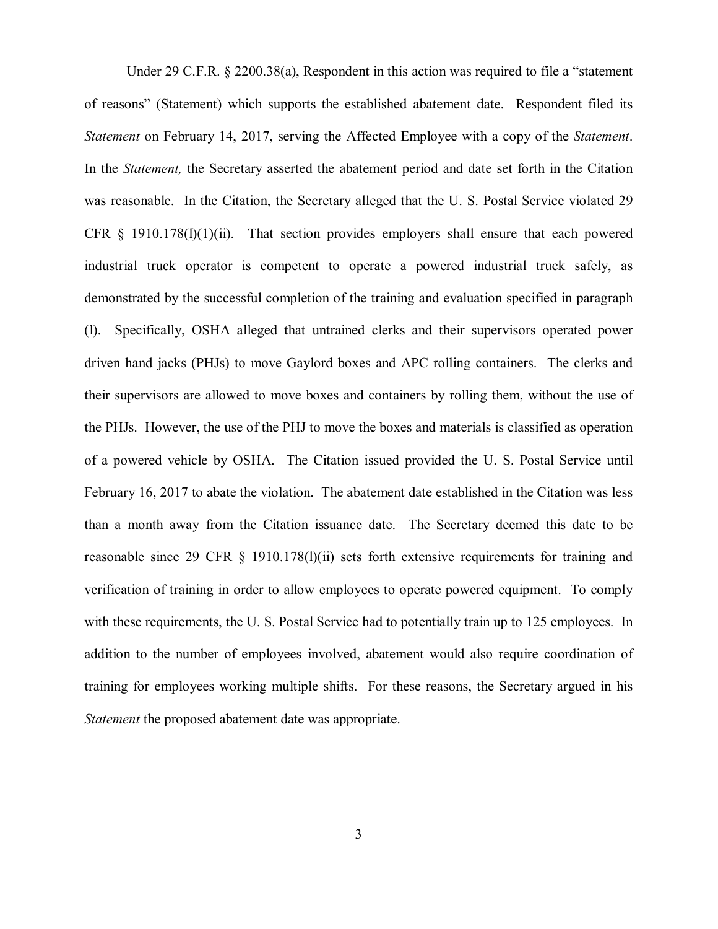Under 29 C.F.R. § 2200.38(a), Respondent in this action was required to file a "statement of reasons" (Statement) which supports the established abatement date. Respondent filed its *Statement* on February 14, 2017, serving the Affected Employee with a copy of the *Statement*. In the *Statement,* the Secretary asserted the abatement period and date set forth in the Citation was reasonable. In the Citation, the Secretary alleged that the U. S. Postal Service violated 29 CFR  $\S$  1910.178(1)(1)(ii). That section provides employers shall ensure that each powered industrial truck operator is competent to operate a powered industrial truck safely, as demonstrated by the successful completion of the training and evaluation specified in paragraph (l). Specifically, OSHA alleged that untrained clerks and their supervisors operated power driven hand jacks (PHJs) to move Gaylord boxes and APC rolling containers. The clerks and their supervisors are allowed to move boxes and containers by rolling them, without the use of the PHJs. However, the use of the PHJ to move the boxes and materials is classified as operation of a powered vehicle by OSHA. The Citation issued provided the U. S. Postal Service until February 16, 2017 to abate the violation. The abatement date established in the Citation was less than a month away from the Citation issuance date. The Secretary deemed this date to be reasonable since 29 CFR § 1910.178(l)(ii) sets forth extensive requirements for training and verification of training in order to allow employees to operate powered equipment. To comply with these requirements, the U.S. Postal Service had to potentially train up to 125 employees. In addition to the number of employees involved, abatement would also require coordination of training for employees working multiple shifts. For these reasons, the Secretary argued in his *Statement* the proposed abatement date was appropriate.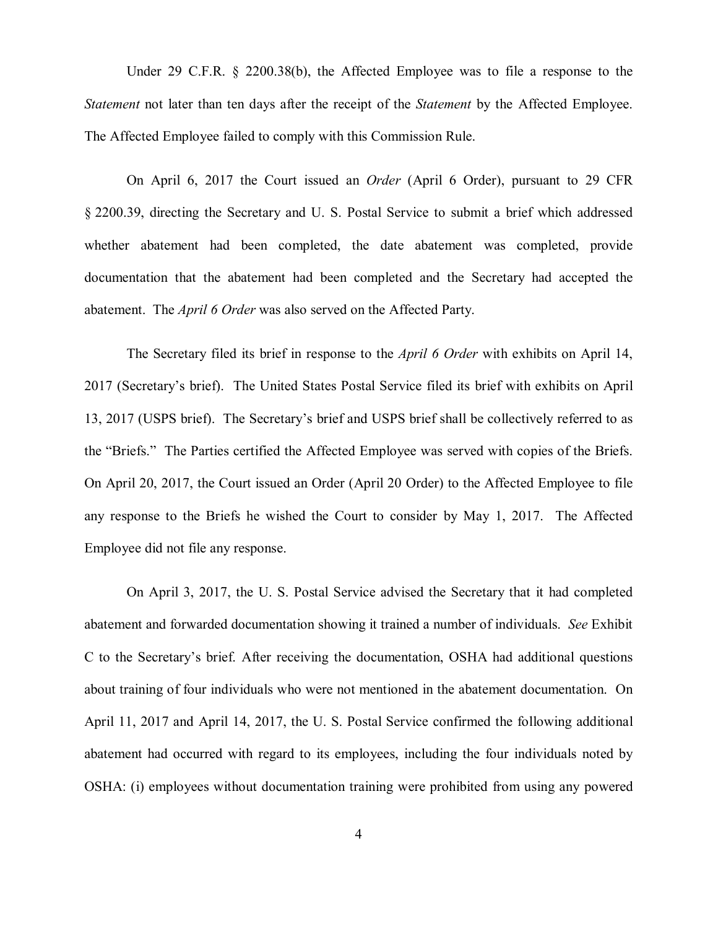Under 29 C.F.R. § 2200.38(b), the Affected Employee was to file a response to the *Statement* not later than ten days after the receipt of the *Statement* by the Affected Employee. The Affected Employee failed to comply with this Commission Rule.

On April 6, 2017 the Court issued an *Order* (April 6 Order), pursuant to 29 CFR § 2200.39, directing the Secretary and U. S. Postal Service to submit a brief which addressed whether abatement had been completed, the date abatement was completed, provide documentation that the abatement had been completed and the Secretary had accepted the abatement. The *April 6 Order* was also served on the Affected Party.

The Secretary filed its brief in response to the *April 6 Order* with exhibits on April 14, 2017 (Secretary's brief). The United States Postal Service filed its brief with exhibits on April 13, 2017 (USPS brief). The Secretary's brief and USPS brief shall be collectively referred to as the "Briefs." The Parties certified the Affected Employee was served with copies of the Briefs. On April 20, 2017, the Court issued an Order (April 20 Order) to the Affected Employee to file any response to the Briefs he wished the Court to consider by May 1, 2017. The Affected Employee did not file any response.

On April 3, 2017, the U. S. Postal Service advised the Secretary that it had completed abatement and forwarded documentation showing it trained a number of individuals. *See* Exhibit C to the Secretary's brief. After receiving the documentation, OSHA had additional questions about training of four individuals who were not mentioned in the abatement documentation. On April 11, 2017 and April 14, 2017, the U. S. Postal Service confirmed the following additional abatement had occurred with regard to its employees, including the four individuals noted by OSHA: (i) employees without documentation training were prohibited from using any powered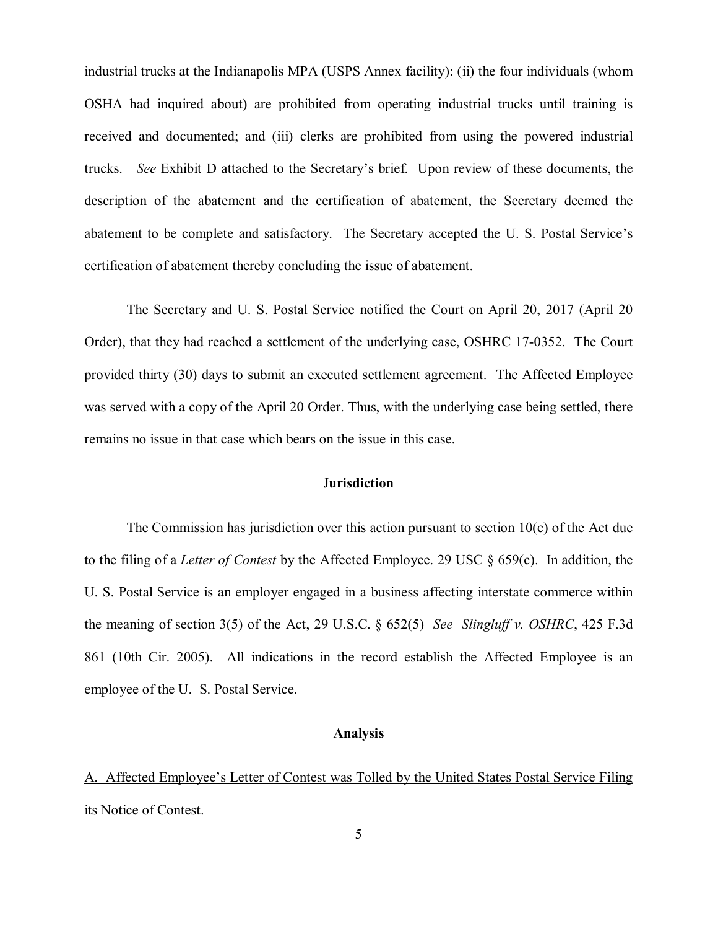industrial trucks at the Indianapolis MPA (USPS Annex facility): (ii) the four individuals (whom OSHA had inquired about) are prohibited from operating industrial trucks until training is received and documented; and (iii) clerks are prohibited from using the powered industrial trucks. *See* Exhibit D attached to the Secretary's brief. Upon review of these documents, the description of the abatement and the certification of abatement, the Secretary deemed the abatement to be complete and satisfactory. The Secretary accepted the U. S. Postal Service's certification of abatement thereby concluding the issue of abatement.

The Secretary and U. S. Postal Service notified the Court on April 20, 2017 (April 20 Order), that they had reached a settlement of the underlying case, OSHRC 17-0352. The Court provided thirty (30) days to submit an executed settlement agreement. The Affected Employee was served with a copy of the April 20 Order. Thus, with the underlying case being settled, there remains no issue in that case which bears on the issue in this case.

# J**urisdiction**

The Commission has jurisdiction over this action pursuant to section  $10(c)$  of the Act due to the filing of a *Letter of Contest* by the Affected Employee. 29 USC § 659(c). In addition, the U. S. Postal Service is an employer engaged in a business affecting interstate commerce within the meaning of section 3(5) of the Act, 29 U.S.C. § 652(5) *See Slingluff v. OSHRC*, 425 F.3d 861 (10th Cir. 2005). All indications in the record establish the Affected Employee is an employee of the U. S. Postal Service.

#### **Analysis**

A. Affected Employee's Letter of Contest was Tolled by the United States Postal Service Filing its Notice of Contest.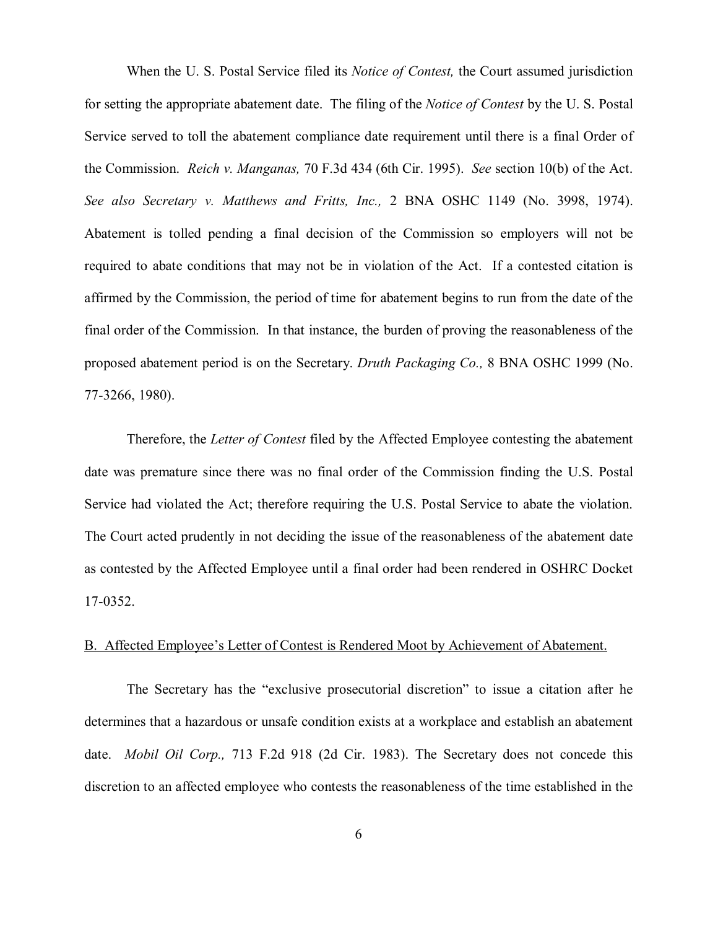When the U. S. Postal Service filed its *Notice of Contest,* the Court assumed jurisdiction for setting the appropriate abatement date. The filing of the *Notice of Contest* by the U. S. Postal Service served to toll the abatement compliance date requirement until there is a final Order of the Commission. *Reich v. Manganas,* 70 F.3d 434 (6th Cir. 1995). *See* section 10(b) of the Act. *See also Secretary v. Matthews and Fritts, Inc.,* 2 BNA OSHC 1149 (No. 3998, 1974). Abatement is tolled pending a final decision of the Commission so employers will not be required to abate conditions that may not be in violation of the Act. If a contested citation is affirmed by the Commission, the period of time for abatement begins to run from the date of the final order of the Commission. In that instance, the burden of proving the reasonableness of the proposed abatement period is on the Secretary. *Druth Packaging Co.,* 8 BNA OSHC 1999 (No. 77-3266, 1980).

Therefore, the *Letter of Contest* filed by the Affected Employee contesting the abatement date was premature since there was no final order of the Commission finding the U.S. Postal Service had violated the Act; therefore requiring the U.S. Postal Service to abate the violation. The Court acted prudently in not deciding the issue of the reasonableness of the abatement date as contested by the Affected Employee until a final order had been rendered in OSHRC Docket 17-0352.

#### B. Affected Employee's Letter of Contest is Rendered Moot by Achievement of Abatement.

The Secretary has the "exclusive prosecutorial discretion" to issue a citation after he determines that a hazardous or unsafe condition exists at a workplace and establish an abatement date. *Mobil Oil Corp.,* 713 F.2d 918 (2d Cir. 1983). The Secretary does not concede this discretion to an affected employee who contests the reasonableness of the time established in the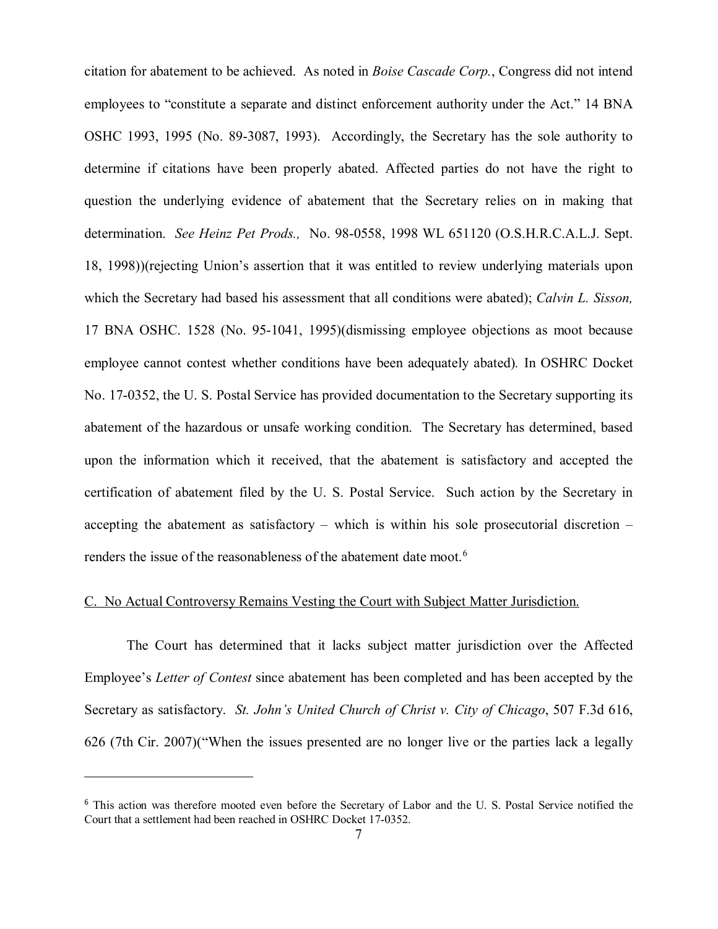citation for abatement to be achieved. As noted in *Boise Cascade Corp.*, Congress did not intend employees to "constitute a separate and distinct enforcement authority under the Act." 14 BNA OSHC 1993, 1995 (No. 89-3087, 1993). Accordingly, the Secretary has the sole authority to determine if citations have been properly abated. Affected parties do not have the right to question the underlying evidence of abatement that the Secretary relies on in making that determination. *See Heinz Pet Prods.,* No. 98-0558, 1998 WL 651120 (O.S.H.R.C.A.L.J. Sept. 18, 1998))(rejecting Union's assertion that it was entitled to review underlying materials upon which the Secretary had based his assessment that all conditions were abated); *Calvin L. Sisson,*  17 BNA OSHC. 1528 (No. 95-1041, 1995)(dismissing employee objections as moot because employee cannot contest whether conditions have been adequately abated)*.* In OSHRC Docket No. 17-0352, the U. S. Postal Service has provided documentation to the Secretary supporting its abatement of the hazardous or unsafe working condition. The Secretary has determined, based upon the information which it received, that the abatement is satisfactory and accepted the certification of abatement filed by the U. S. Postal Service. Such action by the Secretary in accepting the abatement as satisfactory – which is within his sole prosecutorial discretion – renders the issue of the reasonableness of the abatement date moot.<sup>[6](#page-6-0)</sup>

# C. No Actual Controversy Remains Vesting the Court with Subject Matter Jurisdiction.

The Court has determined that it lacks subject matter jurisdiction over the Affected Employee's *Letter of Contest* since abatement has been completed and has been accepted by the Secretary as satisfactory. *St. John's United Church of Christ v. City of Chicago*, 507 F.3d 616, 626 (7th Cir. 2007)("When the issues presented are no longer live or the parties lack a legally

 $\overline{\phantom{a}}$ 

<span id="page-6-0"></span><sup>&</sup>lt;sup>6</sup> This action was therefore mooted even before the Secretary of Labor and the U. S. Postal Service notified the Court that a settlement had been reached in OSHRC Docket 17-0352.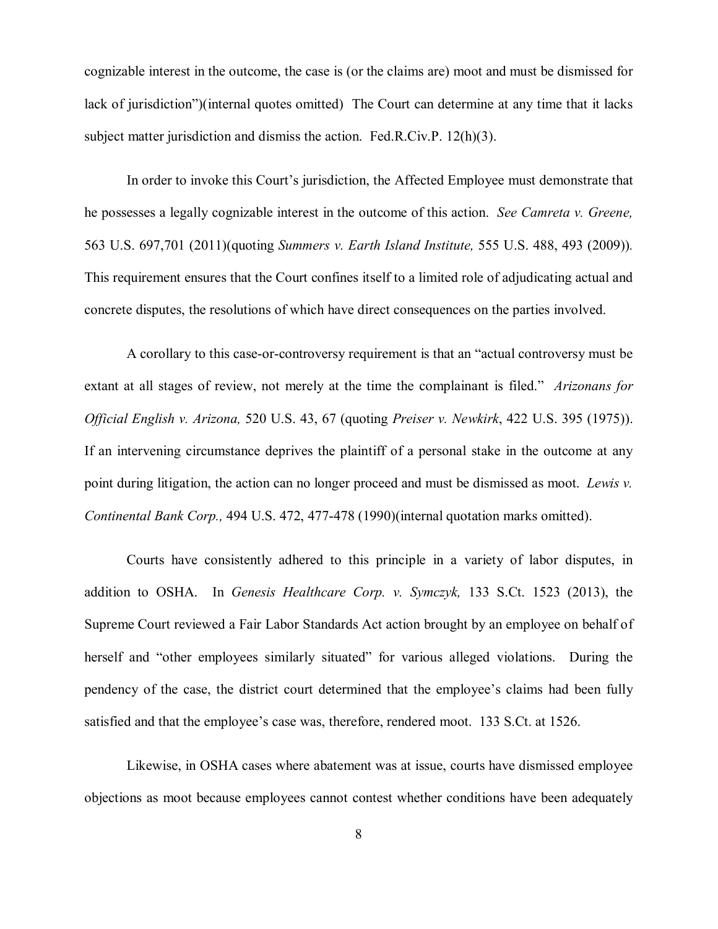cognizable interest in the outcome, the case is (or the claims are) moot and must be dismissed for lack of jurisdiction")(internal quotes omitted) The Court can determine at any time that it lacks subject matter jurisdiction and dismiss the action. Fed.R.Civ.P. 12(h)(3).

In order to invoke this Court's jurisdiction, the Affected Employee must demonstrate that he possesses a legally cognizable interest in the outcome of this action. *See Camreta v. Greene,*  563 U.S. 697,701 (2011)(quoting *Summers v. Earth Island Institute,* 555 U.S. 488, 493 (2009))*.*  This requirement ensures that the Court confines itself to a limited role of adjudicating actual and concrete disputes, the resolutions of which have direct consequences on the parties involved.

A corollary to this case-or-controversy requirement is that an "actual controversy must be extant at all stages of review, not merely at the time the complainant is filed." *Arizonans for Official English v. Arizona,* 520 U.S. 43, 67 (quoting *Preiser v. Newkirk*, 422 U.S. 395 (1975)). If an intervening circumstance deprives the plaintiff of a personal stake in the outcome at any point during litigation, the action can no longer proceed and must be dismissed as moot. *Lewis v. Continental Bank Corp.,* 494 U.S. 472, 477-478 (1990)(internal quotation marks omitted).

Courts have consistently adhered to this principle in a variety of labor disputes, in addition to OSHA. In *Genesis Healthcare Corp. v. Symczyk,* 133 S.Ct. 1523 (2013), the Supreme Court reviewed a Fair Labor Standards Act action brought by an employee on behalf of herself and "other employees similarly situated" for various alleged violations. During the pendency of the case, the district court determined that the employee's claims had been fully satisfied and that the employee's case was, therefore, rendered moot. 133 S.Ct. at 1526.

Likewise, in OSHA cases where abatement was at issue, courts have dismissed employee objections as moot because employees cannot contest whether conditions have been adequately